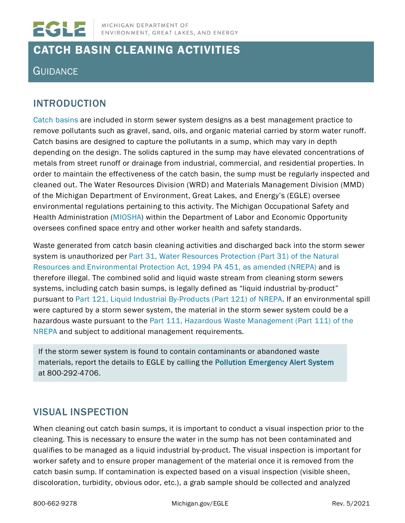

# CATCH BASIN CLEANING ACTIVITIES

## **GUIDANCE**

### INTRODUCTION

[Catch basins](https://www.michigan.gov/documents/deq/deq-wb-nps-cab_250605_7.pdf) are included in storm sewer system designs as a best management practice to remove pollutants such as gravel, sand, oils, and organic material carried by storm water runoff. Catch basins are designed to capture the pollutants in a sump, which may vary in depth depending on the design. The solids captured in the sump may have elevated concentrations of metals from street runoff or drainage from industrial, commercial, and residential properties. In order to maintain the effectiveness of the catch basin, the sump must be regularly inspected and cleaned out. The Water Resources Division (WRD) and Materials Management Division (MMD) of the Michigan Department of Environment, Great Lakes, and Energy's (EGLE) oversee environmental regulations pertaining to this activity. The Michigan Occupational Safety and Health Administration [\(MIOSHA\)](http://www.michigan.gov/miosha) within the Department of Labor and Economic Opportunity oversees confined space entry and other worker health and safety standards.

Waste generated from catch basin cleaning activities and discharged back into the storm sewer system is unauthorized per [Part 31, Water Resources Protection \(Part](http://www.michigan.gov/documents/deq/deq-ess-p2tas-waterguidance-Part31ofNREPA_209536_7.pdf) 31) of the Natural [Resources and](http://www.michigan.gov/documents/deq/deq-ess-p2tas-waterguidance-Part31ofNREPA_209536_7.pdf) [Environmental Pr](http://www.michigan.gov/documents/deq/deq-ess-p2tas-waterguidance-Part31ofNREPA_209536_7.pdf)otection Act, [1994 PA 451, as amended](http://www.michigan.gov/documents/deq/deq-ess-p2tas-waterguidance-Part31ofNREPA_209536_7.pdf) (NREPA) and is therefore illegal. The combined solid and liquid waste stream from cleaning storm sewers systems, including catch basin sumps, is legally defined as "liquid industrial by-product" pursuant to [Part 121,](http://www.legislature.mi.gov/(S(uuirkq45nenfsw55peieczne))/mileg.aspx?page=getobject&objectname=mcl-451-1994-ii-3-121&highlight) [Liquid Industrial By-Products \(Part 121\) of NREPA.](http://www.legislature.mi.gov/(S(uuirkq45nenfsw55peieczne))/mileg.aspx?page=getobject&objectname=mcl-451-1994-ii-3-121&highlight) If an environmental spill were captured by a storm sewer system, the material in the storm sewer system could be a hazardous waste pursuant to the [Part 111, Hazardous Waste Management](http://www.legislature.mi.gov/(S(olofl1sfj11ndts0v00is2f2))/mileg.aspx?page=getObject&objectName=mcl-451-1994-II-3-111) (Part 111) of the [NREPA](http://www.legislature.mi.gov/(S(olofl1sfj11ndts0v00is2f2))/mileg.aspx?page=getObject&objectName=mcl-451-1994-II-3-111) and subject to additional management requirements.

If the storm sewer system is found to contain contaminants or abandoned waste materials, report the details to EGLE by calling the [Pollution Emergency Alert System](https://www.michigan.gov/egle/0,9429,7-135-3306_6828-8796--,00.html) at 800-292-4706.

#### VISUAL INSPECTION

When cleaning out catch basin sumps, it is important to conduct a visual inspection prior to the cleaning. This is necessary to ensure the water in the sump has not been contaminated and qualifies to be managed as a liquid industrial by-product. The visual inspection is important for worker safety and to ensure proper management of the material once it is removed from the catch basin sump. If contamination is expected based on a visual inspection (visible sheen, discoloration, turbidity, obvious odor, etc.), a grab sample should be collected and analyzed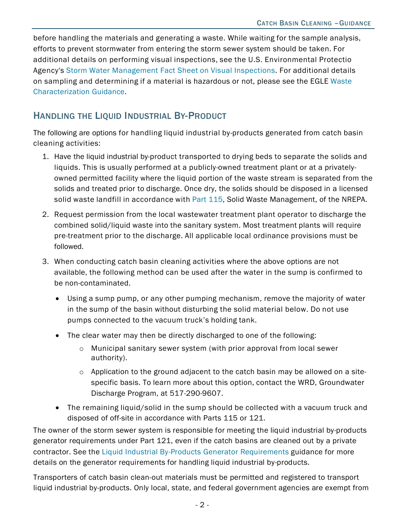before handling the materials and generating a waste. While waiting for the sample analysis, efforts to prevent stormwater from entering the storm sewer system should be taken. For additional details on performing visual inspections, see the U[.S. Environmental Protectio](https://nepis.epa.gov/Exe/ZyNET.exe/200044CU.TXT?ZyActionD=ZyDocument&Client=EPA&Index=1995+Thru+1999&Docs=&Query=&Time=&EndTime=&SearchMethod=1&TocRestrict=n&Toc=&TocEntry=&QField=&QFieldYear=&QFieldMonth=&QFieldDay=&IntQFieldOp=0&ExtQFieldOp=0&XmlQuery=&File=D%3A%5Czyfiles%5CIndex%20Data%5C95thru99%5CTxt%5C00000015%5C200044CU.txt&User=ANONYMOUS&Password=anonymous&SortMethod=h%7C-&MaximumDocuments=1&FuzzyDegree=0&ImageQuality=r75g8/r75g8/x150y150g16/i425&Display=hpfr&DefSeekPage=x&SearchBack=ZyActionL&Back=ZyActionS&BackDesc=Results%20page&MaximumPages=1&ZyEntry=1&SeekPage=x&ZyPURL)  Agency's [Storm Water Mana](https://nepis.epa.gov/Exe/ZyNET.exe/200044CU.TXT?ZyActionD=ZyDocument&Client=EPA&Index=1995+Thru+1999&Docs=&Query=&Time=&EndTime=&SearchMethod=1&TocRestrict=n&Toc=&TocEntry=&QField=&QFieldYear=&QFieldMonth=&QFieldDay=&IntQFieldOp=0&ExtQFieldOp=0&XmlQuery=&File=D%3A%5Czyfiles%5CIndex%20Data%5C95thru99%5CTxt%5C00000015%5C200044CU.txt&User=ANONYMOUS&Password=anonymous&SortMethod=h%7C-&MaximumDocuments=1&FuzzyDegree=0&ImageQuality=r75g8/r75g8/x150y150g16/i425&Display=hpfr&DefSeekPage=x&SearchBack=ZyActionL&Back=ZyActionS&BackDesc=Results%20page&MaximumPages=1&ZyEntry=1&SeekPage=x&ZyPURL)gement Fact Sheet on Visual Inspections. For additional details [on sampling and determining](https://www.michigan.gov/documents/deq/deq-ess-p2tas-wastecharacterization_254618_7.pdf) if a material is hazardous or not, please see the EGLE [W](https://www.michigan.gov/documents/deq/deq-ess-p2tas-wastecharacterization_254618_7.pdf)aste Characterization Guidance.

#### HANDLING THE LIQUID INDUSTRIAL BY-PRODUCT

The following are options for handling liquid industrial by-products generated from catch basin cleaning activities:

- 1. Have the liquid industrial by-product transported to drying beds to separate the solids and liquids. This is usually performed at a publicly-owned treatment plant or at a privatelyowned permitted facility where the liquid portion of the waste stream is separated from the solids and treated prior to discharge. Once dry, the solids should be disposed in a licensed solid waste landfill in accordance wit[h](http://www.legislature.mi.gov/documents/mcl/pdf/mcl-451-1994-ii-3-115.pdf) [Part 115](http://www.legislature.mi.gov/documents/mcl/pdf/mcl-451-1994-ii-3-115.pdf), Solid Waste Management, of the NREPA.
- 2. Request permission from the local wastewater treatment plant operator to discharge the combined solid/liquid waste into the sanitary system. Most treatment plants will require pre-treatment prior to the discharge. All applicable local ordinance provisions must be followed.
- 3. When conducting catch basin cleaning activities where the above options are not available, the following method can be used after the water in the sump is confirmed to be non-contaminated.
	- Using a sump pump, or any other pumping mechanism, remove the majority of water in the sump of the basin without disturbing the solid material below. Do not use pumps connected to the vacuum truck's holding tank.
	- The clear water may then be directly discharged to one of the following:
		- o Municipal sanitary sewer system (with prior approval from local sewer authority).
		- o Application to the ground adjacent to the catch basin may be allowed on a sitespecific basis. To learn more about this option, contact the WRD, Groundwater Discharge Program, at 517-290-9607.
	- The remaining liquid/solid in the sump should be collected with a vacuum truck and disposed of off-site in accordance with Parts 115 or 121.

The owner of the storm sewer system is responsible for meeting the liquid industrial by-products generator requirements under Part 121, even if the catch basins are cleaned out by a private contractor. See the [Liquid Industrial By-Products Generator Requirements g](http://www.michigan.gov/documents/deq/deq-ess-p2tas-liwgenerator_207980_7.pdf)uidance for more details on the generator requirements for handling liquid industrial by-products.

Transporters of catch basin clean-out materials must be permitted and registered to transport liquid industrial by-products. Only local, state, and federal government agencies are exempt from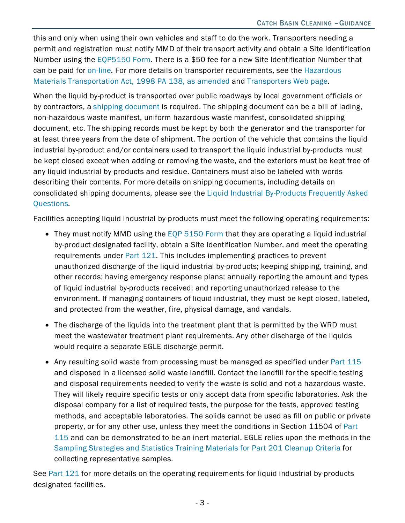this and only when using their own vehicles and staff to do the work. Transporters needing a permit and registration must notify MMD of their transport activity and obtain a Site Identification Number using the [EQP5150 Form.](https://www.michigan.gov/egle/0,9429,7-135-3312_4118_4240-9198--,00.html) There is a \$50 fee for a new Site Identification Number that can be paid for [on-line.](https://www.thepayplace.com/mi/deq/siteid/billpreview.aspx) For more details on transporter requirements, see the [Hazardous](http://www.legislature.mi.gov/(S(kwd30y552e0rou55z0tciy45))/mileg.aspx?page=getobject&objectname=mcl-act-138-of-1998&queryid=385247&highlight)  [Materials Transportation Act, 1998 PA 138, as amended](http://www.legislature.mi.gov/(S(kwd30y552e0rou55z0tciy45))/mileg.aspx?page=getobject&objectname=mcl-act-138-of-1998&queryid=385247&highlight) and [Transporters Web page.](https://www.michigan.gov/egle/0,9429,7-135-3312_7235---,00.html)

When the liquid by-product is transported over public roadways by local government officials or by contractors, a [shipping document](http://www.michigan.gov/documents/deq/deq_oea_waste-BillofLading_Example_529328_7.docx) is required. The shipping document can be a bill of lading, non-hazardous waste manifest, uniform hazardous waste manifest, consolidated shipping document, etc. The shipping records must be kept by both the generator and the transporter for at least three years from the date of shipment. The portion of the vehicle that contains the liquid industrial by-product and/or containers used to transport the liquid industrial by-products must be kept closed except when adding or removing the waste, and the exteriors must be kept free of any liquid industrial by-products and residue. Containers must also be labeled with words describing their contents. For more details on shipping documents, including details on consolidated shipping documents, please see the [Liquid Industrial By-Products Frequently Asked](https://www.michigan.gov/documents/deq/deq-oea-faq-Waste-Part121Changes_515763_7.pdf)  [Questions.](https://www.michigan.gov/documents/deq/deq-oea-faq-Waste-Part121Changes_515763_7.pdf)

Facilities accepting liquid industrial by-products must meet the following operating requirements:

- They must notify MMD using the [EQP 5150 Form](https://www.michigan.gov/egle/0,9429,7-135-3312_4118_4240-9198--,00.html) that they are operating a liquid industrial by-product designated facility, obtain a Site Identification Number, and meet the operating requirements under [Part 121.](http://www.legislature.mi.gov/%28S%28kp0zu2jdtjy1cv0s5uexh3ir%29%29/mileg.aspx?page=getObject&objectName=mcl-451-1994-II-3-121) This includes implementing practices to prevent unauthorized discharge of the liquid industrial by-products; keeping shipping, training, and other records; having emergency response plans; annually reporting the amount and types of liquid industrial by-products received; and reporting unauthorized release to the environment. If managing containers of liquid industrial, they must be kept closed, labeled, and protected from the weather, fire, physical damage, and vandals.
- The discharge of the liquids into the treatment plant that is permitted by the WRD must meet the wastewater treatment plant requirements. Any other discharge of the liquids would require a separate EGLE discharge permit.
- Any resulting solid waste from processing must be managed as specified under [Part 115](http://www.legislature.mi.gov/documents/mcl/pdf/mcl-451-1994-ii-3-115.pdf) and disposed in a licensed solid waste landfill. Contact the landfill for the specific testing and disposal requirements needed to verify the waste is solid and not a hazardous waste. They will likely require specific tests or only accept data from specific laboratories. Ask the disposal company for a list of required tests, the purpose for the tests, approved testing methods, and acceptable laboratories. The solids cannot be used as fill on public or private property, or for any other use, unless they meet the conditions in Section 11504 of [Part](http://www.legislature.mi.gov/documents/mcl/pdf/mcl-451-1994-ii-3-115.pdf) [115](http://www.legislature.mi.gov/documents/mcl/pdf/mcl-451-1994-ii-3-115.pdf) and can be demonstrated to be an inert material. EGLE relies upon the methods in the [Sampling Strategies and Statistics Training Materials for Part 201 Cleanup Criteria](http://www.michigan.gov/documents/deq/deq-erd-stats-s3tm_250015_7.pdf) for collecting representative samples.

See [Part 121](http://www.legislature.mi.gov/%28S%28kp0zu2jdtjy1cv0s5uexh3ir%29%29/mileg.aspx?page=getObject&objectName=mcl-451-1994-II-3-121) for more details on the operating requirements for liquid industrial by-products designated facilities.